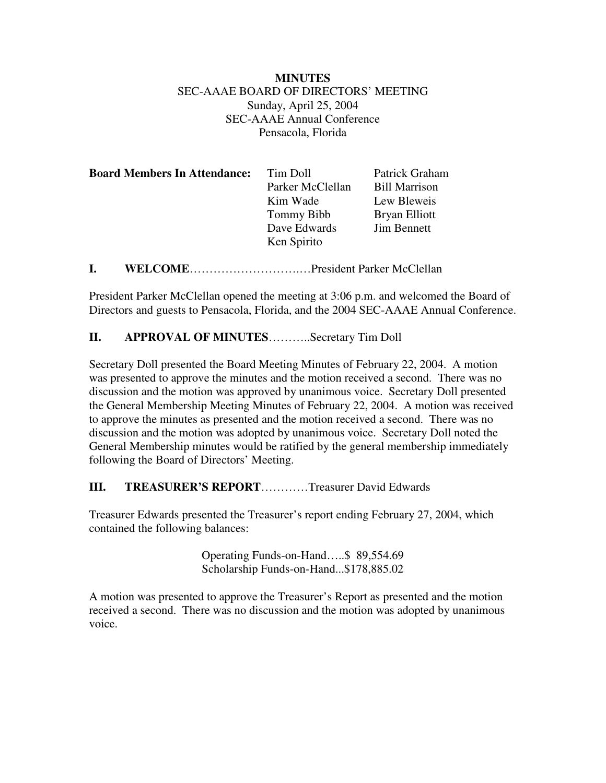# **MINUTES** SEC-AAAE BOARD OF DIRECTORS' MEETING Sunday, April 25, 2004 SEC-AAAE Annual Conference Pensacola, Florida

| <b>Board Members In Attendance:</b> | Tim Doll          | Patrick Graham       |
|-------------------------------------|-------------------|----------------------|
|                                     | Parker McClellan  | <b>Bill Marrison</b> |
|                                     | Kim Wade          | Lew Bleweis          |
|                                     | <b>Tommy Bibb</b> | Bryan Elliott        |
|                                     | Dave Edwards      | <b>Jim Bennett</b>   |
|                                     | Ken Spirito       |                      |
|                                     |                   |                      |

**I. WELCOME**……………………….…President Parker McClellan

President Parker McClellan opened the meeting at 3:06 p.m. and welcomed the Board of Directors and guests to Pensacola, Florida, and the 2004 SEC-AAAE Annual Conference.

### **II. APPROVAL OF MINUTES**………..Secretary Tim Doll

Secretary Doll presented the Board Meeting Minutes of February 22, 2004. A motion was presented to approve the minutes and the motion received a second. There was no discussion and the motion was approved by unanimous voice. Secretary Doll presented the General Membership Meeting Minutes of February 22, 2004. A motion was received to approve the minutes as presented and the motion received a second. There was no discussion and the motion was adopted by unanimous voice. Secretary Doll noted the General Membership minutes would be ratified by the general membership immediately following the Board of Directors' Meeting.

#### **III. TREASURER'S REPORT**…………Treasurer David Edwards

Treasurer Edwards presented the Treasurer's report ending February 27, 2004, which contained the following balances:

> Operating Funds-on-Hand…..\$ 89,554.69 Scholarship Funds-on-Hand...\$178,885.02

A motion was presented to approve the Treasurer's Report as presented and the motion received a second. There was no discussion and the motion was adopted by unanimous voice.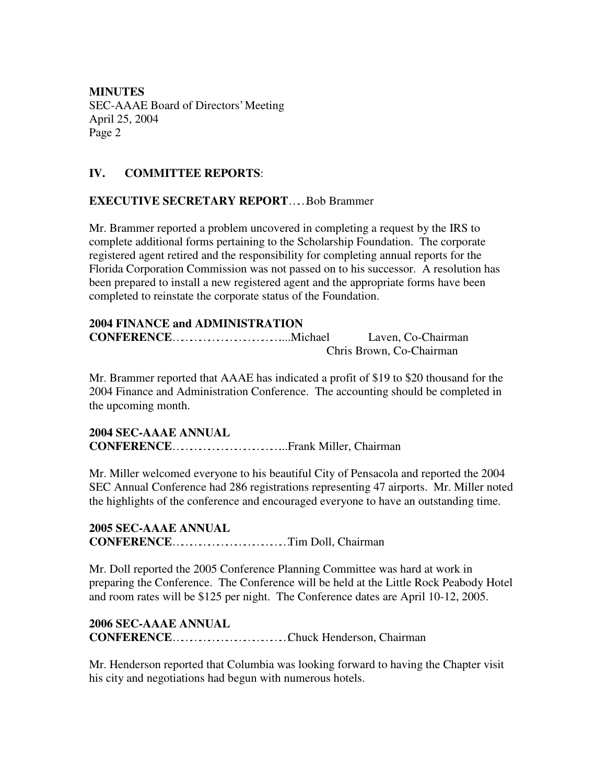# **IV. COMMITTEE REPORTS**:

# **EXECUTIVE SECRETARY REPORT**……Bob Brammer

Mr. Brammer reported a problem uncovered in completing a request by the IRS to complete additional forms pertaining to the Scholarship Foundation. The corporate registered agent retired and the responsibility for completing annual reports for the Florida Corporation Commission was not passed on to his successor. A resolution has been prepared to install a new registered agent and the appropriate forms have been completed to reinstate the corporate status of the Foundation.

### **2004 FINANCE and ADMINISTRATION**

**CONFERENCE**………………………………....Michael Laven, Co-Chairman Chris Brown, Co-Chairman

Mr. Brammer reported that AAAE has indicated a profit of \$19 to \$20 thousand for the 2004 Finance and Administration Conference. The accounting should be completed in the upcoming month.

### **2004 SEC-AAAE ANNUAL CONFERENCE**………………………………...Frank Miller, Chairman

Mr. Miller welcomed everyone to his beautiful City of Pensacola and reported the 2004 SEC Annual Conference had 286 registrations representing 47 airports. Mr. Miller noted the highlights of the conference and encouraged everyone to have an outstanding time.

#### **2005 SEC-AAAE ANNUAL CONFERENCE**…………………………………Tim Doll, Chairman

Mr. Doll reported the 2005 Conference Planning Committee was hard at work in preparing the Conference. The Conference will be held at the Little Rock Peabody Hotel and room rates will be \$125 per night. The Conference dates are April 10-12, 2005.

#### **2006 SEC-AAAE ANNUAL**

**CONFERENCE**…………………………………Chuck Henderson, Chairman

Mr. Henderson reported that Columbia was looking forward to having the Chapter visit his city and negotiations had begun with numerous hotels.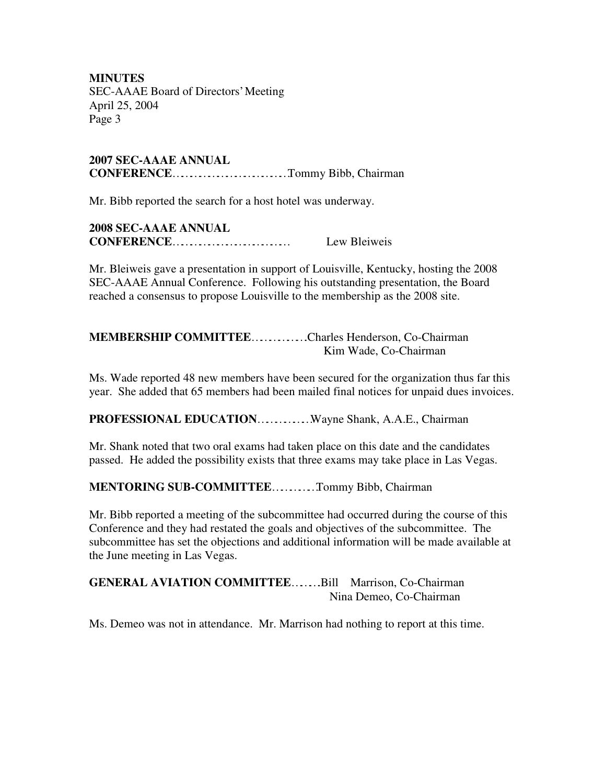**2007 SEC-AAAE ANNUAL CONFERENCE**…………………………………Tommy Bibb, Chairman

Mr. Bibb reported the search for a host hotel was underway.

| <b>2008 SEC-AAAE ANNUAL</b> |              |
|-----------------------------|--------------|
| CONFERENCE                  | Lew Bleiweis |

Mr. Bleiweis gave a presentation in support of Louisville, Kentucky, hosting the 2008 SEC-AAAE Annual Conference. Following his outstanding presentation, the Board reached a consensus to propose Louisville to the membership as the 2008 site.

**MEMBERSHIP COMMITTEE**……………….Charles Henderson, Co-Chairman Kim Wade, Co-Chairman

Ms. Wade reported 48 new members have been secured for the organization thus far this year. She added that 65 members had been mailed final notices for unpaid dues invoices.

**PROFESSIONAL EDUCATION**………………Wayne Shank, A.A.E., Chairman

Mr. Shank noted that two oral exams had taken place on this date and the candidates passed. He added the possibility exists that three exams may take place in Las Vegas.

# **MENTORING SUB-COMMITTEE**……………Tommy Bibb, Chairman

Mr. Bibb reported a meeting of the subcommittee had occurred during the course of this Conference and they had restated the goals and objectives of the subcommittee. The subcommittee has set the objections and additional information will be made available at the June meeting in Las Vegas.

**GENERAL AVIATION COMMITTEE**……….Bill Marrison, Co-Chairman Nina Demeo, Co-Chairman

Ms. Demeo was not in attendance. Mr. Marrison had nothing to report at this time.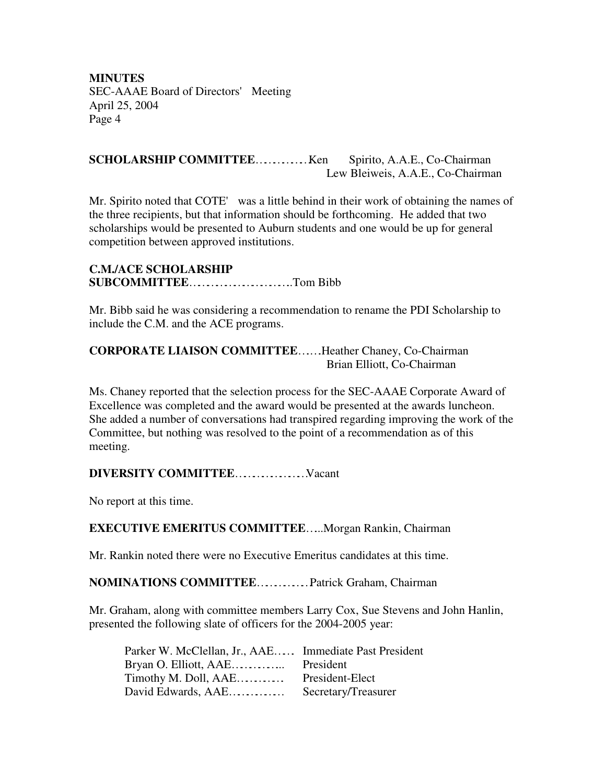#### **SCHOLARSHIP COMMITTEE**………………Ken Spirito, A.A.E., Co-Chairman Lew Bleiweis, A.A.E., Co-Chairman

Mr. Spirito noted that COTE' was a little behind in their work of obtaining the names of the three recipients, but that information should be forthcoming. He added that two scholarships would be presented to Auburn students and one would be up for general competition between approved institutions.

## **C.M./ACE SCHOLARSHIP SUBCOMMITTEE**……………………………..Tom Bibb

Mr. Bibb said he was considering a recommendation to rename the PDI Scholarship to include the C.M. and the ACE programs.

# **CORPORATE LIAISON COMMITTEE**….….Heather Chaney, Co-Chairman Brian Elliott, Co-Chairman

Ms. Chaney reported that the selection process for the SEC-AAAE Corporate Award of Excellence was completed and the award would be presented at the awards luncheon. She added a number of conversations had transpired regarding improving the work of the Committee, but nothing was resolved to the point of a recommendation as of this meeting.

# **DIVERSITY COMMITTEE**……………………Vacant

No report at this time.

# **EXECUTIVE EMERITUS COMMITTEE**…...Morgan Rankin, Chairman

Mr. Rankin noted there were no Executive Emeritus candidates at this time.

#### **NOMINATIONS COMMITTEE**………………Patrick Graham, Chairman

Mr. Graham, along with committee members Larry Cox, Sue Stevens and John Hanlin, presented the following slate of officers for the 2004-2005 year:

| Parker W. McClellan, Jr., AAE Immediate Past President |                     |
|--------------------------------------------------------|---------------------|
|                                                        |                     |
| Timothy M. Doll, AAE                                   | President-Elect     |
| David Edwards, AAE                                     | Secretary/Treasurer |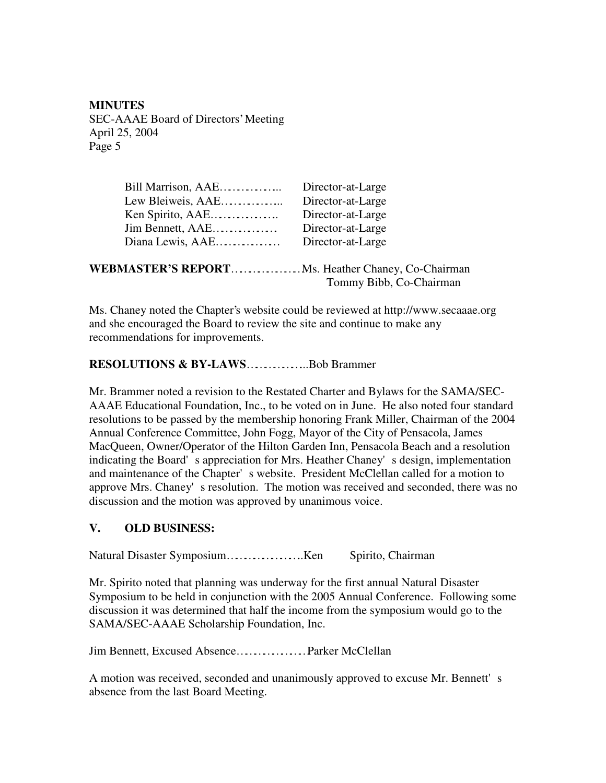| Bill Marrison, AAE                                        | Director-at-Large       |
|-----------------------------------------------------------|-------------------------|
| Lew Bleiweis, AAE                                         | Director-at-Large       |
| Ken Spirito, AAE                                          | Director-at-Large       |
| Jim Bennett, AAE                                          | Director-at-Large       |
| Diana Lewis, $AAE$                                        | Director-at-Large       |
|                                                           |                         |
| <b>WEBMASTER'S REPORT</b> Ms. Heather Chaney, Co-Chairman |                         |
|                                                           | Tommy Bibb, Co-Chairman |

Ms. Chaney noted the Chapter's website could be reviewed at http://www.secaaae.org and she encouraged the Board to review the site and continue to make any recommendations for improvements.

#### **RESOLUTIONS & BY-LAWS**………………...Bob Brammer

Mr. Brammer noted a revision to the Restated Charter and Bylaws for the SAMA/SEC-AAAE Educational Foundation, Inc., to be voted on in June. He also noted four standard resolutions to be passed by the membership honoring Frank Miller, Chairman of the 2004 Annual Conference Committee, John Fogg, Mayor of the City of Pensacola, James MacQueen, Owner/Operator of the Hilton Garden Inn, Pensacola Beach and a resolution indicating the Board's appreciation for Mrs. Heather Chaney's design, implementation and maintenance of the Chapter's website. President McClellan called for a motion to approve Mrs. Chaney's resolution. The motion was received and seconded, there was no discussion and the motion was approved by unanimous voice.

#### **V. OLD BUSINESS:**

Natural Disaster Symposium……………………..Ken Spirito, Chairman

Mr. Spirito noted that planning was underway for the first annual Natural Disaster Symposium to be held in conjunction with the 2005 Annual Conference. Following some discussion it was determined that half the income from the symposium would go to the SAMA/SEC-AAAE Scholarship Foundation, Inc.

Jim Bennett, Excused Absence……………………Parker McClellan

A motion was received, seconded and unanimously approved to excuse Mr. Bennett's absence from the last Board Meeting.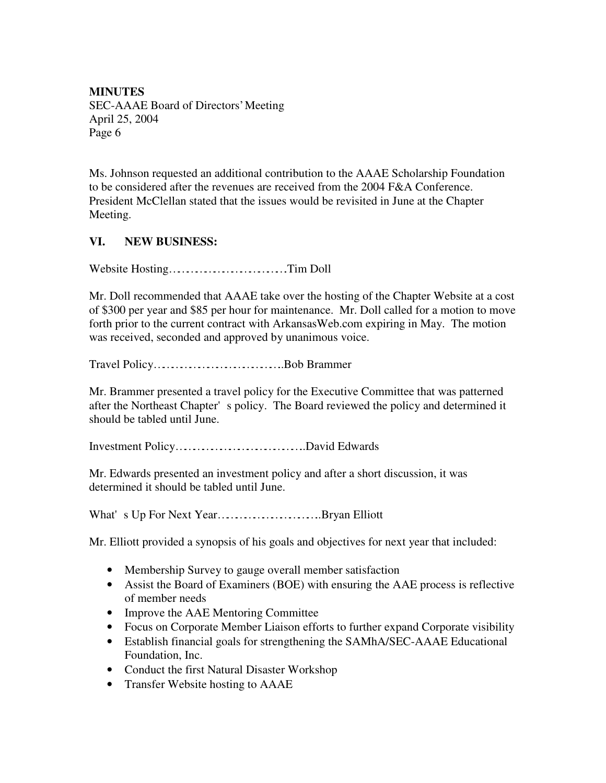Ms. Johnson requested an additional contribution to the AAAE Scholarship Foundation to be considered after the revenues are received from the 2004 F&A Conference. President McClellan stated that the issues would be revisited in June at the Chapter Meeting.

# **VI. NEW BUSINESS:**

Website Hosting………………………………….Tim Doll

Mr. Doll recommended that AAAE take over the hosting of the Chapter Website at a cost of \$300 per year and \$85 per hour for maintenance. Mr. Doll called for a motion to move forth prior to the current contract with ArkansasWeb.com expiring in May. The motion was received, seconded and approved by unanimous voice.

Travel Policy……………………………………..Bob Brammer

Mr. Brammer presented a travel policy for the Executive Committee that was patterned after the Northeast Chapter's policy. The Board reviewed the policy and determined it should be tabled until June.

Investment Policy……………………………………..David Edwards

Mr. Edwards presented an investment policy and after a short discussion, it was determined it should be tabled until June.

What's Up For Next Year……………………………..Bryan Elliott

Mr. Elliott provided a synopsis of his goals and objectives for next year that included:

- Membership Survey to gauge overall member satisfaction
- Assist the Board of Examiners (BOE) with ensuring the AAE process is reflective of member needs
- Improve the AAE Mentoring Committee
- Focus on Corporate Member Liaison efforts to further expand Corporate visibility
- Establish financial goals for strengthening the SAMhA/SEC-AAAE Educational Foundation, Inc.
- Conduct the first Natural Disaster Workshop
- Transfer Website hosting to AAAE